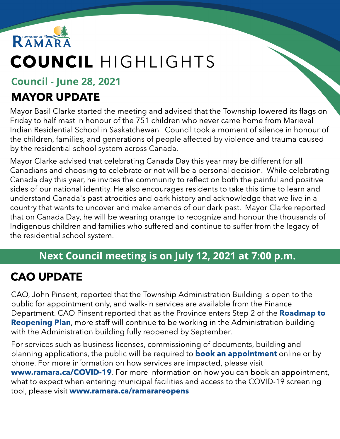

# COUNCIL HIGHLIGHTS

#### Council - June 28, 2021

# MAYOR UPDATE

Mayor Basil Clarke started the meeting and advised that the Township lowered its flags on Friday to half mast in honour of the 751 children who never came home from Marieval Indian Residential School in Saskatchewan. Council took a moment of silence in honour of the children, families, and generations of people affected by violence and trauma caused by the residential school system across Canada.

Mayor Clarke advised that celebrating Canada Day this year may be different for all Canadians and choosing to celebrate or not will be a personal decision. While celebrating Canada day this year, he invites the community to reflect on both the painful and positive sides of our national identity. He also encourages residents to take this time to learn and understand Canada's past atrocities and dark history and acknowledge that we live in a country that wants to uncover and make amends of our dark past. Mayor Clarke reported that on Canada Day, he will be wearing orange to recognize and honour the thousands of Indigenous children and families who suffered and continue to suffer from the legacy of the residential school system.

#### Next Council meeting is on July 12, 2021 at 7:00 p.m.

# CAO UPDATE

CAO, John Pinsent, reported that the Township Administration Building is open to the public for appointment only, and walk-in services are available from the Finance Department. CAO Pinsent reported that as the Province enters Step 2 of the [Roadmap](https://www.ontario.ca/page/reopening-ontario) [to](https://www.ontario.ca/page/reopening-ontario) **[Reopening](https://www.ontario.ca/page/reopening-ontario) [Plan](https://www.ontario.ca/page/reopening-ontario)**, more staff will continue to be working in the Administration building with the Administration building fully reopened by September.

For services such as business licenses, commissioning of documents, building and pl[an](https://www.ramara.ca/en/municipal-office/booking-an-appointment.aspx)ning applications, the public will be required to **[book](https://www.ramara.ca/en/municipal-office/booking-an-appointment.aspx) an [appointment](https://www.ramara.ca/en/municipal-office/booking-an-appointment.aspx)** online or by phone. For more information on how services are impacted, please visit ww[w.ramara.ca/COVID-19](https://www.ramara.ca/en/municipal-office/covid-19.aspx). For more information on how you can book an appointment, what to expect when entering municipal facilities and access to the COVID-19 screening tool, please visit ww[w.ramara.ca/ramarareopens](http://www.ramara.ca/ramarareopens).